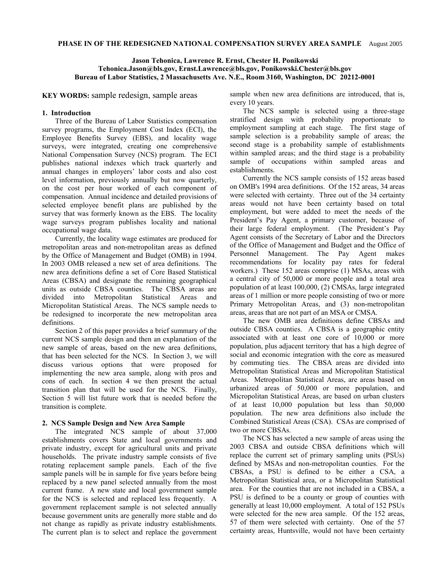## **Jason Tehonica, Lawrence R. Ernst, Chester H. Ponikowski Tehonica.Jason@bls.gov, Ernst.Lawrence@bls.gov, Ponikowski.Chester@bls.gov Bureau of Labor Statistics, 2 Massachusetts Ave. N.E., Room 3160, Washington, DC 20212-0001**

**KEY WORDS:** sample redesign, sample areas

## **1. Introduction**

Three of the Bureau of Labor Statistics compensation survey programs, the Employment Cost Index (ECI), the Employee Benefits Survey (EBS), and locality wage surveys, were integrated, creating one comprehensive National Compensation Survey (NCS) program. The ECI publishes national indexes which track quarterly and annual changes in employers' labor costs and also cost level information, previously annually but now quarterly, on the cost per hour worked of each component of compensation. Annual incidence and detailed provisions of selected employee benefit plans are published by the survey that was formerly known as the EBS. The locality wage surveys program publishes locality and national occupational wage data.

Currently, the locality wage estimates are produced for metropolitan areas and non-metropolitan areas as defined by the Office of Management and Budget (OMB) in 1994. In 2003 OMB released a new set of area definitions. The new area definitions define a set of Core Based Statistical Areas (CBSA) and designate the remaining geographical units as outside CBSA counties. The CBSA areas are divided into Metropolitan Statistical Areas and Micropolitan Statistical Areas. The NCS sample needs to be redesigned to incorporate the new metropolitan area definitions.

Section 2 of this paper provides a brief summary of the current NCS sample design and then an explanation of the new sample of areas, based on the new area definitions, that has been selected for the NCS. In Section 3, we will discuss various options that were proposed for implementing the new area sample, along with pros and cons of each. In section 4 we then present the actual transition plan that will be used for the NCS. Finally, Section 5 will list future work that is needed before the transition is complete.

### **2. NCS Sample Design and New Area Sample**

The integrated NCS sample of about 37,000 establishments covers State and local governments and private industry, except for agricultural units and private households. The private industry sample consists of five rotating replacement sample panels. Each of the five sample panels will be in sample for five years before being replaced by a new panel selected annually from the most current frame. A new state and local government sample for the NCS is selected and replaced less frequently. A government replacement sample is not selected annually because government units are generally more stable and do not change as rapidly as private industry establishments. The current plan is to select and replace the government

sample when new area definitions are introduced, that is, every 10 years.

The NCS sample is selected using a three-stage stratified design with probability proportionate to employment sampling at each stage. The first stage of sample selection is a probability sample of areas; the second stage is a probability sample of establishments within sampled areas; and the third stage is a probability sample of occupations within sampled areas and establishments.

Currently the NCS sample consists of 152 areas based on OMB's 1994 area definitions. Of the 152 areas, 34 areas were selected with certainty. Three out of the 34 certainty areas would not have been certainty based on total employment, but were added to meet the needs of the President's Pay Agent, a primary customer, because of their large federal employment. (The President's Pay Agent consists of the Secretary of Labor and the Directors of the Office of Management and Budget and the Office of Personnel Management. The Pay Agent makes recommendations for locality pay rates for federal workers.) These 152 areas comprise (1) MSAs, areas with a central city of 50,000 or more people and a total area population of at least 100,000, (2) CMSAs, large integrated areas of 1 million or more people consisting of two or more Primary Metropolitan Areas, and (3) non-metropolitan areas, areas that are not part of an MSA or CMSA.

The new OMB area definitions define CBSAs and outside CBSA counties. A CBSA is a geographic entity associated with at least one core of 10,000 or more population, plus adjacent territory that has a high degree of social and economic integration with the core as measured by commuting ties. The CBSA areas are divided into Metropolitan Statistical Areas and Micropolitan Statistical Areas. Metropolitan Statistical Areas, are areas based on urbanized areas of 50,000 or more population, and Micropolitan Statistical Areas, are based on urban clusters of at least 10,000 population but less than 50,000 population. The new area definitions also include the Combined Statistical Areas (CSA). CSAs are comprised of two or more CBSAs.

The NCS has selected a new sample of areas using the 2003 CBSA and outside CBSA definitions which will replace the current set of primary sampling units (PSUs) defined by MSAs and non-metropolitan counties. For the CBSAs, a PSU is defined to be either a CSA, a Metropolitan Statistical area, or a Micropolitan Statistical area. For the counties that are not included in a CBSA, a PSU is defined to be a county or group of counties with generally at least 10,000 employment. A total of 152 PSUs were selected for the new area sample. Of the 152 areas, 57 of them were selected with certainty. One of the 57 certainty areas, Huntsville, would not have been certainty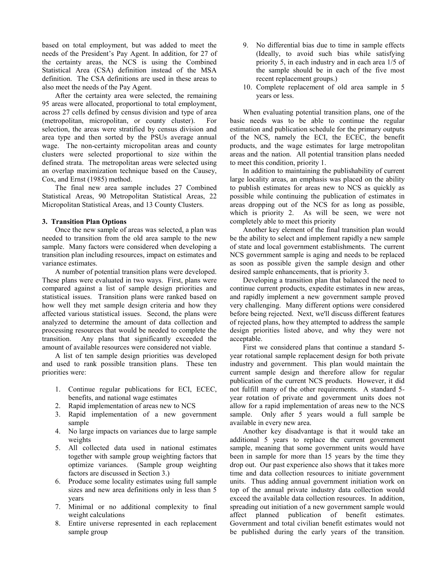based on total employment, but was added to meet the needs of the President's Pay Agent. In addition, for 27 of the certainty areas, the NCS is using the Combined Statistical Area (CSA) definition instead of the MSA definition. The CSA definitions are used in these areas to also meet the needs of the Pay Agent.

After the certainty area were selected, the remaining 95 areas were allocated, proportional to total employment, across 27 cells defined by census division and type of area (metropolitan, micropolitan, or county cluster). For selection, the areas were stratified by census division and area type and then sorted by the PSUs average annual wage. The non-certainty micropolitan areas and county clusters were selected proportional to size within the defined strata. The metropolitan areas were selected using an overlap maximization technique based on the Causey, Cox, and Ernst (1985) method.

The final new area sample includes 27 Combined Statistical Areas, 90 Metropolitan Statistical Areas, 22 Micropolitan Statistical Areas, and 13 County Clusters.

## **3. Transition Plan Options**

Once the new sample of areas was selected, a plan was needed to transition from the old area sample to the new sample. Many factors were considered when developing a transition plan including resources, impact on estimates and variance estimates.

A number of potential transition plans were developed. These plans were evaluated in two ways. First, plans were compared against a list of sample design priorities and statistical issues. Transition plans were ranked based on how well they met sample design criteria and how they affected various statistical issues. Second, the plans were analyzed to determine the amount of data collection and processing resources that would be needed to complete the transition. Any plans that significantly exceeded the amount of available resources were considered not viable.

A list of ten sample design priorities was developed and used to rank possible transition plans. These ten priorities were:

- 1. Continue regular publications for ECI, ECEC, benefits, and national wage estimates
- 2. Rapid implementation of areas new to NCS
- 3. Rapid implementation of a new government sample
- 4. No large impacts on variances due to large sample weights
- 5. All collected data used in national estimates together with sample group weighting factors that optimize variances. (Sample group weighting factors are discussed in Section 3.)
- 6. Produce some locality estimates using full sample sizes and new area definitions only in less than 5 years
- 7. Minimal or no additional complexity to final weight calculations
- 8. Entire universe represented in each replacement sample group
- 9. No differential bias due to time in sample effects (Ideally, to avoid such bias while satisfying priority 5, in each industry and in each area 1/5 of the sample should be in each of the five most recent replacement groups.)
- 10. Complete replacement of old area sample in 5 years or less.

When evaluating potential transition plans, one of the basic needs was to be able to continue the regular estimation and publication schedule for the primary outputs of the NCS, namely the ECI, the ECEC, the benefit products, and the wage estimates for large metropolitan areas and the nation. All potential transition plans needed to meet this condition, priority 1.

In addition to maintaining the publishability of current large locality areas, an emphasis was placed on the ability to publish estimates for areas new to NCS as quickly as possible while continuing the publication of estimates in areas dropping out of the NCS for as long as possible, which is priority 2. As will be seen, we were not completely able to meet this priority

Another key element of the final transition plan would be the ability to select and implement rapidly a new sample of state and local government establishments. The current NCS government sample is aging and needs to be replaced as soon as possible given the sample design and other desired sample enhancements, that is priority 3.

Developing a transition plan that balanced the need to continue current products, expedite estimates in new areas, and rapidly implement a new government sample proved very challenging. Many different options were considered before being rejected. Next, we'll discuss different features of rejected plans, how they attempted to address the sample design priorities listed above, and why they were not acceptable.

First we considered plans that continue a standard 5 year rotational sample replacement design for both private industry and government. This plan would maintain the current sample design and therefore allow for regular publication of the current NCS products. However, it did not fulfill many of the other requirements. A standard 5 year rotation of private and government units does not allow for a rapid implementation of areas new to the NCS sample. Only after 5 years would a full sample be available in every new area.

Another key disadvantage is that it would take an additional 5 years to replace the current government sample, meaning that some government units would have been in sample for more than 15 years by the time they drop out. Our past experience also shows that it takes more time and data collection resources to initiate government units. Thus adding annual government initiation work on top of the annual private industry data collection would exceed the available data collection resources. In addition, spreading out initiation of a new government sample would affect planned publication of benefit estimates. Government and total civilian benefit estimates would not be published during the early years of the transition.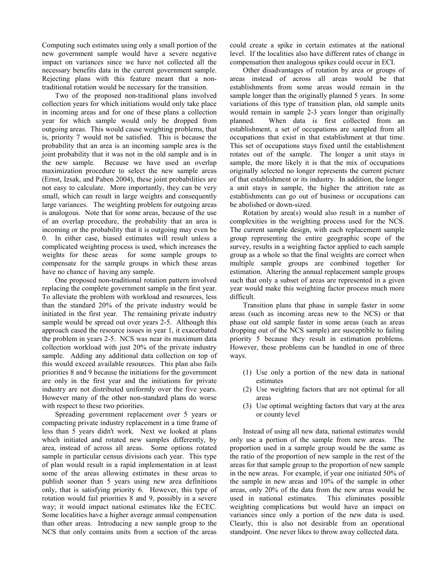Computing such estimates using only a small portion of the new government sample would have a severe negative impact on variances since we have not collected all the necessary benefits data in the current government sample. Rejecting plans with this feature meant that a nontraditional rotation would be necessary for the transition.

Two of the proposed non-traditional plans involved collection years for which initiations would only take place in incoming areas and for one of these plans a collection year for which sample would only be dropped from outgoing areas. This would cause weighting problems, that is, priority 7 would not be satisfied. This is because the probability that an area is an incoming sample area is the joint probability that it was not in the old sample and is in the new sample. Because we have used an overlap maximization procedure to select the new sample areas (Ernst, Izsak, and Paben 2004), these joint probabilities are not easy to calculate. More importantly, they can be very small, which can result in large weights and consequently large variances. The weighting problem for outgoing areas is analogous. Note that for some areas, because of the use of an overlap procedure, the probability that an area is incoming or the probability that it is outgoing may even be 0. In either case, biased estimates will result unless a complicated weighting process is used, which increases the weights for these areas for some sample groups to compensate for the sample groups in which these areas have no chance of having any sample.

One proposed non-traditional rotation pattern involved replacing the complete government sample in the first year. To alleviate the problem with workload and resources, less than the standard 20% of the private industry would be initiated in the first year. The remaining private industry sample would be spread out over years 2-5. Although this approach eased the resource issues in year 1, it exacerbated the problem in years 2-5. NCS was near its maximum data collection workload with just 20% of the private industry sample. Adding any additional data collection on top of this would exceed available resources. This plan also fails priorities 8 and 9 because the initiations for the government are only in the first year and the initiations for private industry are not distributed uniformly over the five years. However many of the other non-standard plans do worse with respect to these two priorities.

Spreading government replacement over 5 years or compacting private industry replacement in a time frame of less than 5 years didn't work. Next we looked at plans which initiated and rotated new samples differently, by area, instead of across all areas. Some options rotated sample in particular census divisions each year. This type of plan would result in a rapid implementation in at least some of the areas allowing estimates in these areas to publish sooner than 5 years using new area definitions only, that is satisfying priority 6. However, this type of rotation would fail priorities 8 and 9, possibly in a severe way; it would impact national estimates like the ECEC. Some localities have a higher average annual compensation than other areas. Introducing a new sample group to the NCS that only contains units from a section of the areas

could create a spike in certain estimates at the national level. If the localities also have different rates of change in compensation then analogous spikes could occur in ECI.

Other disadvantages of rotation by area or groups of areas instead of across all areas would be that establishments from some areas would remain in the sample longer than the originally planned 5 years. In some variations of this type of transition plan, old sample units would remain in sample 2-3 years longer than originally planned. When data is first collected from an establishment, a set of occupations are sampled from all occupations that exist in that establishment at that time. This set of occupations stays fixed until the establishment rotates out of the sample. The longer a unit stays in sample, the more likely it is that the mix of occupations originally selected no longer represents the current picture of that establishment or its industry. In addition, the longer a unit stays in sample, the higher the attrition rate as establishments can go out of business or occupations can be abolished or down-sized.

Rotation by area(s) would also result in a number of complexities in the weighting process used for the NCS. The current sample design, with each replacement sample group representing the entire geographic scope of the survey, results in a weighting factor applied to each sample group as a whole so that the final weights are correct when multiple sample groups are combined together for estimation. Altering the annual replacement sample groups such that only a subset of areas are represented in a given year would make this weighting factor process much more difficult.

Transition plans that phase in sample faster in some areas (such as incoming areas new to the NCS) or that phase out old sample faster in some areas (such as areas dropping out of the NCS sample) are susceptible to failing priority 5 because they result in estimation problems. However, these problems can be handled in one of three ways.

- (1) Use only a portion of the new data in national estimates
- (2) Use weighting factors that are not optimal for all areas
- (3) Use optimal weighting factors that vary at the area or county level

Instead of using all new data, national estimates would only use a portion of the sample from new areas. The proportion used in a sample group would be the same as the ratio of the proportion of new sample in the rest of the areas for that sample group to the proportion of new sample in the new areas. For example, if year one initiated 50% of the sample in new areas and 10% of the sample in other areas, only 20% of the data from the new areas would be used in national estimates. This eliminates possible weighting complications but would have an impact on variances since only a portion of the new data is used. Clearly, this is also not desirable from an operational standpoint. One never likes to throw away collected data.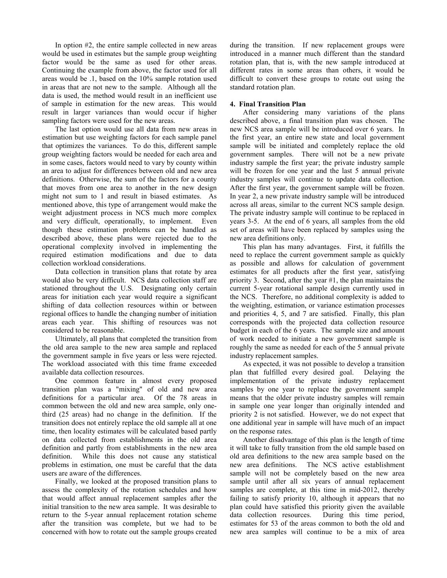In option #2, the entire sample collected in new areas would be used in estimates but the sample group weighting factor would be the same as used for other areas. Continuing the example from above, the factor used for all areas would be .1, based on the 10% sample rotation used in areas that are not new to the sample. Although all the data is used, the method would result in an inefficient use of sample in estimation for the new areas. This would result in larger variances than would occur if higher sampling factors were used for the new areas.

The last option would use all data from new areas in estimation but use weighting factors for each sample panel that optimizes the variances. To do this, different sample group weighting factors would be needed for each area and in some cases, factors would need to vary by county within an area to adjust for differences between old and new area definitions. Otherwise, the sum of the factors for a county that moves from one area to another in the new design might not sum to 1 and result in biased estimates. As mentioned above, this type of arrangement would make the weight adjustment process in NCS much more complex and very difficult, operationally, to implement. Even though these estimation problems can be handled as described above, these plans were rejected due to the operational complexity involved in implementing the required estimation modifications and due to data collection workload considerations.

Data collection in transition plans that rotate by area would also be very difficult. NCS data collection staff are stationed throughout the U.S. Designating only certain areas for initiation each year would require a significant shifting of data collection resources within or between regional offices to handle the changing number of initiation areas each year. This shifting of resources was not considered to be reasonable.

Ultimately, all plans that completed the transition from the old area sample to the new area sample and replaced the government sample in five years or less were rejected. The workload associated with this time frame exceeded available data collection resources.

One common feature in almost every proposed transition plan was a "mixing" of old and new area definitions for a particular area. Of the 78 areas in common between the old and new area sample, only onethird (25 areas) had no change in the definition. If the transition does not entirely replace the old sample all at one time, then locality estimates will be calculated based partly on data collected from establishments in the old area definition and partly from establishments in the new area definition. While this does not cause any statistical problems in estimation, one must be careful that the data users are aware of the differences.

Finally, we looked at the proposed transition plans to assess the complexity of the rotation schedules and how that would affect annual replacement samples after the initial transition to the new area sample. It was desirable to return to the 5-year annual replacement rotation scheme after the transition was complete, but we had to be concerned with how to rotate out the sample groups created during the transition. If new replacement groups were introduced in a manner much different than the standard rotation plan, that is, with the new sample introduced at different rates in some areas than others, it would be difficult to convert these groups to rotate out using the standard rotation plan.

# **4. Final Transition Plan**

After considering many variations of the plans described above, a final transition plan was chosen. The new NCS area sample will be introduced over 6 years. In the first year, an entire new state and local government sample will be initiated and completely replace the old government samples. There will not be a new private industry sample the first year; the private industry sample will be frozen for one year and the last 5 annual private industry samples will continue to update data collection. After the first year, the government sample will be frozen. In year 2, a new private industry sample will be introduced across all areas, similar to the current NCS sample design. The private industry sample will continue to be replaced in years 3-5. At the end of 6 years, all samples from the old set of areas will have been replaced by samples using the new area definitions only.

This plan has many advantages. First, it fulfills the need to replace the current government sample as quickly as possible and allows for calculation of government estimates for all products after the first year, satisfying priority 3. Second, after the year #1, the plan maintains the current 5-year rotational sample design currently used in the NCS. Therefore, no additional complexity is added to the weighting, estimation, or variance estimation processes and priorities 4, 5, and 7 are satisfied. Finally, this plan corresponds with the projected data collection resource budget in each of the 6 years. The sample size and amount of work needed to initiate a new government sample is roughly the same as needed for each of the 5 annual private industry replacement samples.

As expected, it was not possible to develop a transition plan that fulfilled every desired goal. Delaying the implementation of the private industry replacement samples by one year to replace the government sample means that the older private industry samples will remain in sample one year longer than originally intended and priority 2 is not satisfied. However, we do not expect that one additional year in sample will have much of an impact on the response rates.

Another disadvantage of this plan is the length of time it will take to fully transition from the old sample based on old area definitions to the new area sample based on the new area definitions. The NCS active establishment sample will not be completely based on the new area sample until after all six years of annual replacement samples are complete, at this time in mid-2012, thereby failing to satisfy priority 10, although it appears that no plan could have satisfied this priority given the available data collection resources. During this time period, estimates for 53 of the areas common to both the old and new area samples will continue to be a mix of area